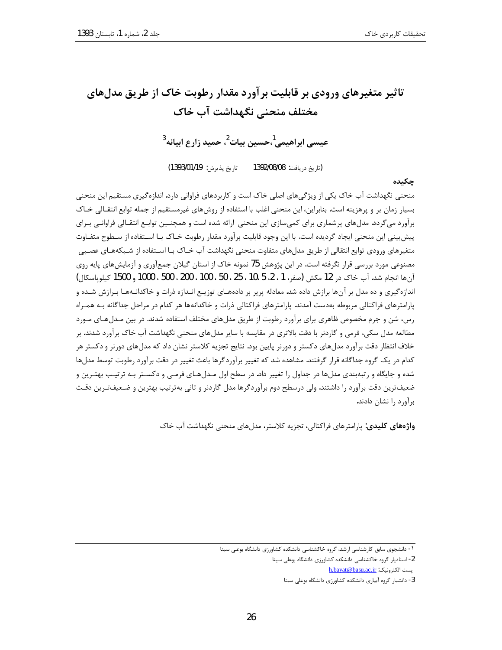# تاثیر متغیرهای ورودی بر قابلیت بر آورد مقدار رطوبت خاک از طریق مدل های مختلف منحنى نگهداشت آب خاک

عيسے, ابراهيمے,<sup>1</sup>،حسين بيات<sup>2</sup>، حميد زارع ابيانه<sup>3</sup>

تاريخ پذيرش: 1393/01/19) (تاريخ دريافت: 1392/08/08

#### چکىدە

منحنی نگهداشت آب خاک یکی از ویژگیهای اصلی خاک است و کاربردهای فراوانی دارد. اندازهگیری مستقیم این منحنی بسیار زمان بر و پرهزینه است. بنابراین، این منحنی اغلب با استفاده از روشهای غیرمستقیم از جمله توابع انتقـالی خـاک برآورد می گردد. مدلهای پرشماری برای کمیسازی این منحنی ارائه شده است و همچنـین توابـع انتقـالی فراوانـی بـرای پیش بینی این منحنی ایجاد گردیده است. با این وجود قابلیت برآورد مقدار رطوبت خـاک بـا اسـتفاده از سـطوح متفـاوت متغیرهای ورودی توابع انتقالی از طریق مدلهای متفاوت منحنی نگهداشت آب خـاک بـا اسـتفاده از شـبکههـای عصـبی مصنوعی مورد بررسی قرار نگرفته است. در این پژوهش 75 نمونه خاک از استان گیلان جمعآوری و آزمایشهای پایه روی آن ها انجام شد. آب خاک در 12 مکش (صفر، 1 ، 2، 5 ،10 ، 25 ، 50 ، 100 ، 200 ، 500 ، 1000 و 1500 کیلویاسکال) اندازهگیری و ده مدل بر آنها برازش داده شد. معادله پریر بر دادههـای توزیـع انـدازه ذرات و خاکدانـههـا بـرازش شـده و پارامترهای فراکتالی مربوطه بهدست آمدند. پارامترهای فراکتالی ذرات و خاکدانهها هر کدام در مراحل جداگانه بـه همـراه رس، شن و جرم مخصوص ظاهری برای برآورد رطوبت از طریق مدلهای مختلف استفاده شدند. در بین مـدلهـای مـورد مطالعه مدل سکی، فرمی و گاردنر با دقت بالاتری در مقایسه با سایر مدل۵های منحنی نگهداشت آب خاک برآورد شدند. بر خلاف انتظار دقت برآورد مدلهای دکستر و دورنر پایین بود. نتایج تجزیه کلاستر نشان داد که مدلهای دورنر و دکستر هر کدام در یک گروه جداگانه قرار گرفتند. مشاهده شد که تغییر برآوردگرها باعث تغییر در دقت برآورد رطوبت توسط مدلها شده و جایگاه و رتبهبندی مدلها در جداول را تغییر داد. در سطح اول مـدلهـای فرمـی و دکسـتر بـه ترتیـب بهتـرین و ضعیفترین دقت برآورد را داشتند. ولی درسطح دوم برآوردگرها مدل گاردنر و تانی بهترتیب بهترین و ضـعیفتـرین دقـت برآورد را نشان دادند.

**واژههای کلیدی:** پارامترهای فراکتالی، تجزیه کلاستر، مدلهای منحنی نگهداشت آب خاک

h.bayat@basu.ac.ir يست الكترونيك:

<sup>&</sup>lt;sup>1</sup>- دانشجوی سابق کارشناسی ارشد، گروه خاکشناسی دانشکده کشاورزی دانشگاه بوعلی سینا

<sup>2-</sup> استادیار گروه خاکشناسی دانشکده کشاورزی دانشگاه بوعلی سینا

<sup>3-</sup> دانشیار گروه آبیاری دانشکده کشاورزی دانشگاه بوعلی سینا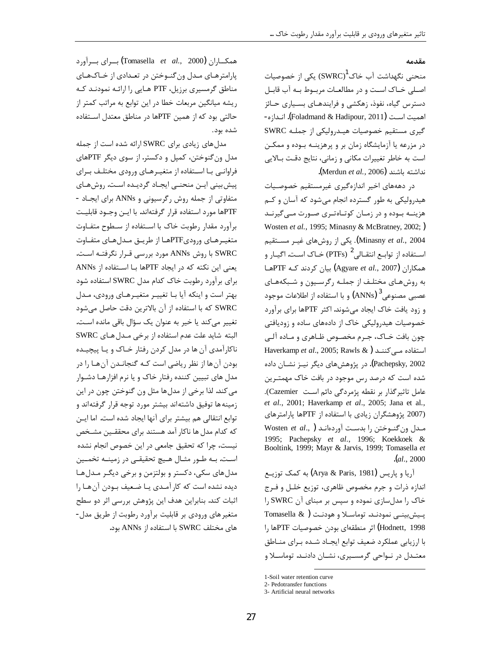#### مقدمه

منحنی نگهداشت آب خاک $^{\rm l}$  (SWRC) یکی از خصوصیات اصلی خـاک اسـت و در مطالعـات مربـوط بـه آب قابـل دسترس گیاه، نفوذ، زهکشی و فرایندهـای بسـیاری حـائز اهميت اســت (Foladmand & Hadipour, 2011). انــدازه-گیری مستقیم خصوصیات هیـدرولیکی از جملـه SWRC در مزرعه یا آزمایشگاه زمان بر و پرهزینـه بـوده و ممکـن است به خاطر تغییرات مکانی و زمانی، نتایج دقت بالایی نداشته باشند (Merdun et al., 2006).

در دهههای اخیر اندازهگیری غیرمستقیم خصوصیات هیدرولیکی به طور گسترده انجام می شود که آسان و کــم هزینــه بــوده و در زمــان کوتــاهتـری صــورت مــی گیرنــد Wosten et al., 1995; Minasny & McBratney, 2002;) Minasny et al., 2004). یکی از روشهای غیـر مســتقیم اسـتفاده از توابــع انتقــالى 2 (PTFs) خــاک اسـت. اگيــار و همکاران (Agyare et al., 2007) بیان کردند کـه PTFهـا به روشهای مختلـف از جملـه رگرسـيون و شـبكههـای عصبی مصنوعی  $\left( {\rm ANNs}\right)^3$  و با استفاده از اطلاعات موجود و زود یافت خاک ایجاد می شوند. اکثر PTFها برای برآورد خصوصیات هیدرولیکی خاک از دادههای ساده و زودیافتی چون بافت خـاک، جـرم مخصـوص ظـاهري و مـاده آلـي Haverkamp et al., 2005; Rawls & ) استفاده مے کننـد Pachepsky, 2002). در پژوهشهای دیگر نیــز نشــان داده شده است که درصد رس موجود در بافت خاک مهمتـرین عامل تاثير گذار بر نقطه پژمردگي دائم است Cazemier). et al., 2001; Haverkamp et al., 2005; Jana et al., (2007 پژوهشگران زیادی با استفاده از PTFها پارامترهای Wosten  $et$  al., ) المدل بدست آوردهانـد 1995; Pachepsky et al., 1996; Koekkoek & Booltink, 1999; Mayr & Jarvis, 1999; Tomasella et  $(a1, 2000)$ 

آریا و یاریس (Arya & Paris, 1981) به کمک توزیــع اندازه ذرات و جرم مخصوص ظاهري، توزيع خلـل و فـرج خاک را مدلسازی نموده و سپس بر مبنای آن SWRC را  $\Gamma$ omasella  $\&$  ) يـيش:يېنــی نمودنـد. توماســلا و هودنـت Hodnett, 1998) اثر منطقهای بودن خصوصیات PTFها ,ا با ارزیابی عملکرد ضعیف توابع ایجـاد شـده بـرای منـاطق معتـدل در نـواحی گرمسـیری، نشـان دادنـد. توماسـلا و

ممکساران (Tomasella *et al.,* 2000) بسرای بسرآورد پارامترهـای مـدل ون گنـوختن در تعـدادی از خـاکـهـای مناطق گرمسیری برزیل، PTF هـایی را ارائـه نمودنـد كـه ریشه میانگین مربعات خطا در این توابع به مراتب کمتر از حالتی بود که از همین PTFها در مناطق معتدل استفاده شده بود.

مدل های زیادی برای SWRC ارائه شده است از جمله مدل ون گنوختن، کمپل و دکستر. از سوی دیگر PTFهای فراوانبی بـا اسـتفاده از متغیـرهـای ورودی مختلـف بـرای پیش بینی ایـن منحنـی ایجـاد گردیـده اسـت. روشهـای متفاوتی از جمله روش رگرسیونی و ANNs برای ایجاد -PTFها مورد استفاده قرار گرفتهاند. با ایـن وجـود قابلیـت برآورد مقدار رطوبت خاك با استفاده از سطوح متفـاوت متغیـرهـای ورودیPTFهـا از طریـق مـدلهـای متفـاوت SWRC با روش ANNs مورد بررسی قـرار نگرفتـه اسـت. يعني اين نكته كه در ايجاد PTFها بـا اسـتفاده از ANNs برای برآورد رطوبت خاک کدام مدل SWRC استفاده شود بهتر است و اینکه آیا با تغییر متغیرهای ورودی، مدل SWRC كه با استفاده از آن بالاترين دقت حاصل مى شود تغییر می کند یا خیر به عنوان یک سؤال باقی مانده است. البته شايد علت عدم استفاده از برخي مدل هاي SWRC ناکارآمدي آن ها در مدل کردن رفتار خـاک و يـا پيچيـده بودن آنها از نظر ریاضی است کـه گنجانـدن آنهـا را در مدل های تبیین کننده رفتار خاک و یا نرم افزارهـا دشـوار مي كند. لذا برخي از مدلها مثل ون گنوختن چون در اين زمینه ها توفیق داشتهاند بیشتر مورد توجه قرار گرفتهاند و توابع انتقالی هم بیشتر برای آنها ایجاد شده است. اما ایـن که کدام مدل ها ناکار آمد هستند برای محققـین مشـخص نیست، چرا که تحقیق جامعی در این خصوص انجام نشده است. بـه طـور مثـال هـيچ تحقيقـي در زمينـه تخمـين مدل های سکی، دکستر و بولتزمن و برخی دیگر مدل ها دیده نشده است که کار آمدی یا ضعیف بودن آن ها را اثبات کند. بنابراین هدف این پژوهش بررسی اثر دو سطح متغیر های ورودی بر قابلیت برآورد رطوبت از طریق مدل-های مختلف SWRC با استفاده از ANNs بود.

<sup>1-</sup>Soil water retention curve

<sup>2-</sup> Pedotransfer functions

<sup>3-</sup> Artificial neural networks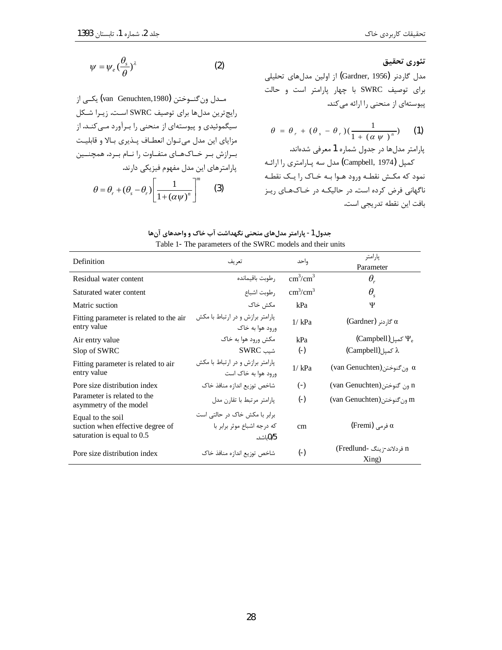$$
\psi = \psi_e \left(\frac{\theta_s}{\theta}\right)^{\lambda} \tag{2}
$$

مـدل ون گنــوختن (van Genuchten,1980) يكــي از رايج ترين مدلها براي توصيف SWRC است. زيـرا شـكل سیگموئیدی و پیوستهای از منحنی را بـرآورد مـی کنـد. از مزایای این مدل میتوان انعطاف پـذیری بـالا و قابلیـت بـرازش بـر خـاكـهـاي متفـاوت را نـام بـرد. همچنــين پارامترهای این مدل مفهوم فیزیکی دارند.  $\theta = \theta_r + (\theta_s - \theta_r) \left[ \frac{1}{1 + (\alpha \psi)^n} \right]^m$  (3)

$$
\theta = \theta_r + (\theta_s - \theta_r)(\frac{1}{1 + (\alpha \psi)^n})
$$
 (1)

پارامتر مدلها در جدول شماره 1 معرفی شدهاند. كمپل (Campbell, 1974) مدل سه پارامتري را ارائـه نمود که مکش نقطـه ورود هـوا بـه خـاک را يـک نقطـه ناگهانی فرض کرده است. در حالیکـه در خـاکـهـای ریـز بافت این نقطه تدریجی است.

## جدول 1- پارامتر مدلهای منحنی نگهداشت آب خاک و واحدهای آنها Table 1- The parameters of the SWRC models and their units

| Definition                                                                          | تعريف                                                                  | واحد                      | پارامتر<br>Parameter                            |  |  |
|-------------------------------------------------------------------------------------|------------------------------------------------------------------------|---------------------------|-------------------------------------------------|--|--|
| Residual water content                                                              | رطوبت باقيمانده                                                        | $\text{cm}^3/\text{cm}^3$ | $\theta_{\rm r}$                                |  |  |
| Saturated water content                                                             | رطوبت اشباع                                                            | $\text{cm}^3/\text{cm}^3$ | $\theta_{\rm s}$                                |  |  |
| Matric suction                                                                      | مكش خاک                                                                | kPa                       | Ψ                                               |  |  |
| Fitting parameter is related to the air<br>entry value                              | پارامتر برازش و در ارتباط با مكش<br>ورود هوا به خاک                    | 1/kPa                     | $\text{(Gardner)}$ گا <sub>ر</sub> دنر) ه       |  |  |
| Air entry value                                                                     | مکش ورود هوا به خاک                                                    | kPa                       | $\langle \text{Campbell} \rangle$ کمپل $\Psi_e$ |  |  |
| Slop of SWRC                                                                        | شىت SWRC                                                               | $(\cdot)$                 | (Campbell) کمیل) (Campbell                      |  |  |
| Fitting parameter is related to air<br>entry value                                  | یارامتر برازش و در ارتباط با مکش<br>ورود هوا به خاک است                | 1/kPa                     | (van Genuchten) ون گنوختن (                     |  |  |
| Pore size distribution index                                                        | شاخص توزيع اندازه منافذ خاك                                            | $(-)$                     | (van Genuchten) ون گنوختن                       |  |  |
| Parameter is related to the<br>asymmetry of the model                               | پارامتر مرتبط با تقارن مدل                                             | $(\cdot)$                 | m ون گنوختن (van Genuchten)                     |  |  |
| Equal to the soil<br>suction when effective degree of<br>saturation is equal to 0.5 | برابر با مکش خاک در حالتی است<br>که درجه اشباع موثر برابر با<br>0/5سد. | cm                        | $(\mathrm{Fremi})$ فرمی $\alpha$                |  |  |
| Pore size distribution index                                                        | شاخص توزيع اندازه منافذ خاك                                            | $(-)$                     | n فردلاند- <sub>ز</sub> ینگ -Fredlund)<br>Xing) |  |  |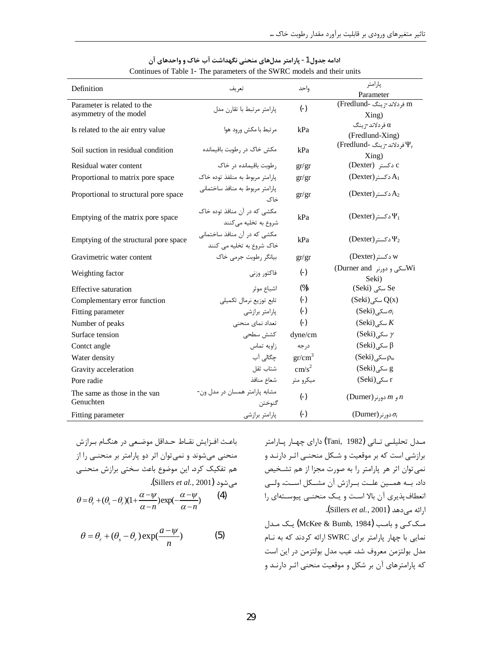| Definition                                | تعريف                                                     | واحد              | پارامتر<br>Parameter               |  |
|-------------------------------------------|-----------------------------------------------------------|-------------------|------------------------------------|--|
| Parameter is related to the               | يارامتر مرتبط با تقارن مدل                                | $(\cdot)$         | m فردلاند-زينگ -Fredlund)          |  |
| asymmetry of the model                    |                                                           |                   | Xing)                              |  |
| Is related to the air entry value         | مرتبط با مكش ورود هوا                                     | kPa               | فردلاند-زينگ $\alpha$              |  |
|                                           |                                                           |                   | (Fredlund-Xing)                    |  |
| Soil suction in residual condition        | مکش خاک در رطوبت باقیمانده                                | kPa               | (Fredlund- فردلاند-زينگ) $\Psi_r$  |  |
|                                           |                                                           |                   | Xing)                              |  |
| Residual water content                    | رطوبت باقیمانده در خاک                                    | gr/gr             | C دکستر (Dexter)                   |  |
| Proportional to matrix pore space         | پارامتر مربوط به منلفذ توده خاک                           | gr/gr             | $($ Dexter) دکستر                  |  |
| Proportional to structural pore space     | پارامتر مربوط به منافذ ساختماني<br>خاک                    | gr/gr             | $($ Dexter) د کستر                 |  |
| Emptying of the matrix pore space         | مکشی که در آن منافذ توده خاک<br>شروع به تخلیه می کنند     | kPa               | $($ Dexter) دکستر                  |  |
| Emptying of the structural pore space     | مکشی که در آن منافذ ساختمانی<br>خاک شروع به تخلیه می کنند | kPa               | $($ Dexter) د کستر                 |  |
| Gravimetric water content                 | بیانگر رطوبت جرمی خاک                                     | gr/gr             | W دکستر (Dexter)                   |  |
| Weighting factor                          | فاکتور وزنی                                               | $(\cdot)$         | Wiسکی و دورنر Durner and)<br>Seki) |  |
| Effective saturation                      | اشباع موثر                                                | $(\%)$            | Se سکی (Seki)                      |  |
| Complementary error function              | تابع توزيع نرمال تكميلي                                   | $(-)$             | $(Seki)$ سکی) $Q(x)$               |  |
| Fitting parameter                         | پارامتر برازشی                                            | $(\cdot)$         | $(Seki)_{i}$ سکے) $\sigma_i$       |  |
| Number of peaks                           | تعداد نمای منحنی                                          | $(-)$             | $(Seki)$ سکے) $K$                  |  |
| Surface tension                           | كشش سطحى                                                  | dyne/cm           | $(Seki)$ سکے) $\gamma$             |  |
| Contct angle                              | زاويه تماس                                                | درجه              | $(Seki)$ سکے) $\beta$              |  |
| Water density                             | چگالی آب                                                  | $gr/cm^3$         | $(Seki)_{\alpha}$ سکے) $\rho_w$    |  |
| Gravity acceleration                      | شتاب ثقل                                                  | cm/s <sup>2</sup> | g سکے (Seki)                       |  |
| Pore radie                                | شعاع منافذ                                                | میکرو متر         | $(Seki)$ سکے $r$                   |  |
| The same as those in the van<br>Genuchten | مشابه پارامتر همسان در مدل ون-<br>گنوختن                  | $(-)$             | (Durner) و $m \rho$ دورنر (        |  |
| Fitting parameter                         | پارامتر برازشى                                            | $(\cdot)$         | $(D$ urner) دورنر (                |  |

### ادامه جدول 1- پارامتر مدلهای منحنی نگهداشت آب خاک و واحدهای آن Continues of Table 1- The parameters of the SWRC models and their units

$$
\theta = \theta_r + (\theta_s - \theta_r)(1 + \frac{\alpha - \psi}{\alpha - n})\exp(-\frac{\alpha - \psi}{\alpha - n})
$$
 (4)

$$
\theta = \theta_r + (\theta_s - \theta_r) \exp(\frac{a - \psi}{n})
$$
 (5)

مـدل تحليلـي تــاني (Tani, 1982) داراي چهـار پــارامتر برازشی است که بر موقعیت و شـکل منحنـی اثـر دارنـد و نمی توان اثر هر پارامتر را به صورت مجزا از هم تشـخیص داد. بــه همــين علــت بــرازش آن مشــكل اســت. ولــى انعطاف پذیری آن بالا است و یک منحنبی پیوستهای را ارائه مىدهد (Sillers *et al*., 2001**)**. مککی و بامب (McKee & Bumb, 1984) یک مدل نمایی با چهار پارامتر برای SWRC ارائه کردند که به نـام مدل بولتزمن معروف شد. عيب مدل بولتزمن در اين است که پارامترهای آن بر شکل و موقعیت منحنی اثـر دارنـد و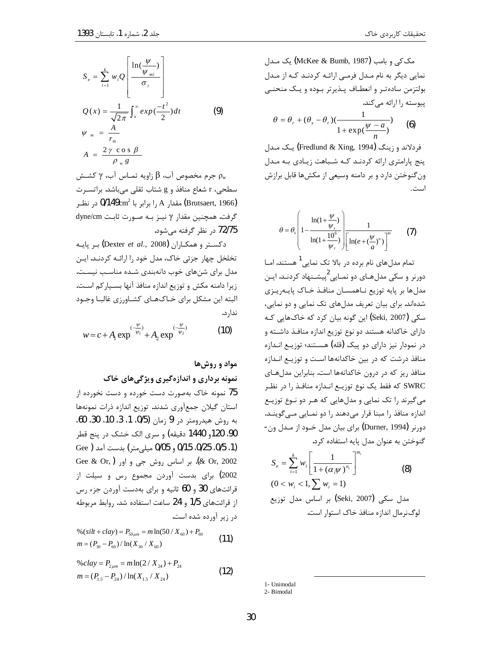$\Gamma$ 

مک کی و بامب (McKee & Bumb, 1987) یک مدل نمایی دیگر به نام مـدل فرمـی ارائـه کردنـد کـه از مـدل بولتزمن ساده تر و انعطـاف پـذيرتر بـوده و يـک منحنـى پیوسته را ارائه میکند.

$$
\theta = \theta_r + (\theta_s - \theta_r)(\frac{1}{1 + \exp(\frac{\psi - a}{n})})
$$
 (6)

فردلاند و زینگ (Fredlund & Xing, 1994) یک مـدل پنج پارامتری ارائه کردنـد کـه شـباهت زيـادي بـه مـدل ون گنوختن دارد و بر دامنه وسیعی از مکش ها قابل برازش است.

$$
\theta = \theta_s \left( 1 - \frac{\ln(1 + \frac{\psi}{\psi_r})}{\ln(1 + \frac{10^6}{\psi_r})} \right) \frac{1}{\left[ \ln(e + (\frac{\psi}{a})^n) \right]^m}
$$
 (7)

تمام مدل های نام برده در بالا تک نمایی<sup>1</sup> هستند. امــا دورنر و سکی مدلهـای دو نمـایی<sup>2</sup>پیشـنهاد کردنـد. ایـن مدلها بر پايه توزيع نـاهمسـان منافـذ خـاک پايـه٫يـزي شدهاند. برای بیان تعریف مدلهای تک نمایی و دو نمایی، سکی (Seki, 2007) این گونه بیان کرد که خاکهایی کـه دارای خاکدانه هستند دو نوع توزیع اندازه منافـذ داشـته و در نمودار نیز دارای دو پیک (قله) هستند؛ توزیـع انـدازه منافذ درشت که در بین خاکدانهها است و توزیـع انـدازه منافذ ریز که در درون خاکدانهها است. بنابراین مدلهای SWRC که فقط یک نوع توزیـع انـدازه منافـذ را در نظـر می گیرند را تک نمایی و مدلهایی که هـر دو نـوع توزیـع اندازه منافذ را مبنا قرار می دهند را دو نمـایی مـی گوینـد. دورنر (Durner, 1994) براي بيان مدل خــود از مــدل ون-گنوختن به عنوان مدل یایه استفاده کرد.

$$
S_e = \sum_{i=1}^{k} w_i \left[ \frac{1}{1 + (\alpha_i \psi)^{n_i}} \right]^{m_i}
$$
\n
$$
(0 < w_i < 1, \sum w_i = 1)
$$
\n
$$
\text{Seki, 2007} \quad \text{Soki, 2007} \quad \text{Soki, 2008} \quad \text{Lip.}
$$

1- Unimodal 2- Bimodal

$$
S_e = \sum_{i=1}^{k} w_i Q \left[ \frac{\ln(\frac{\psi}{\psi_{mi}})}{\sigma_i} \right]
$$
  

$$
Q(x) = \frac{1}{\sqrt{2\pi}} \int_x^{\infty} exp(\frac{-t^2}{2}) dt
$$
  

$$
\psi_m = \frac{A}{r_m}
$$
  

$$
A = \frac{2 \gamma \cos \beta}{\rho_w g}
$$
 (9)

برم مخصوص آب، β زاویه تمـاس آب، γ کشــش Pw سطحی، r شعاع منافذ و g شتاب ثقلی میباشد. براتسـرت (Brutsaert, 1966) مقدار A را برابر با 0/149cm<sup>2</sup> در نظـر گرفت. همچنین مقدار γ نیـز بـه صـورت ثابـت dyne/cm 72/75 در نظر گرفته می شود.

 $\rho$ بر یابه Dexter et al., 2008) د کستر و همکـاران تخلخل چهار جزئی خاک، مدل خود را ارائـه کردنـد. ایـن مدل برای شنهای خوب دانهبندی شده مناسب نیست. زيرا دامنه مكش و توزيع اندازه منافذ آنها بسـياركم اسـت. البته این مشکل برای خـاکهـای کشـاورزی غالبـا وجـود ندار د.

$$
w = c + A_1 \exp^{\frac{(-\psi)}{\psi_1}} + A_2 \exp^{\frac{(-\psi)}{\psi_2}} \tag{10}
$$

# مواد و روشها

نمونه برداری و اندازهگیری ویژگیهای خاک 75 نمونه خاک بهصورت دست خورده و دست نخورده از استان گیلان جمعآوری شدند. توزیع اندازه ذرات نمونهها به روش هيدرومتر در 9 زمان (0/5، 1، 3، 10، 30، 60، 90، 120و 1440 دقیقه) و سری الک خشک در پنج قطر (1، 0/15، 0/25، 0/15 و 0/05 ميلي متر) بدست آمد ( Gee Gee & Or, ) إبر اساس روش جي و اور Gee & Or, ) 2002) برای بدست آوردن مجموع رس و سیلت از قرائتهای 30 و 60 ثانیه و برای بهدست آوردن جزء رس از قرائتهای 1/5 و 24 ساعت استفاده شد. روابط مربوطه در زیر آورده شده است.

$$
\% (silt + clay) = P_{50\mu m} = m \ln(50 / X_{60}) + P_{60}
$$
  
\n
$$
m = (P_{30} - P_{60}) / \ln(X_{30} / X_{60})
$$
\n(11)

% 
$$
clay = P_{2\mu m} = m \ln(2 / X_{24}) + P_{24}
$$
  
\n
$$
m = (P_{1.5} - P_{24}) / \ln(X_{1.5} / X_{24})
$$
\n(12)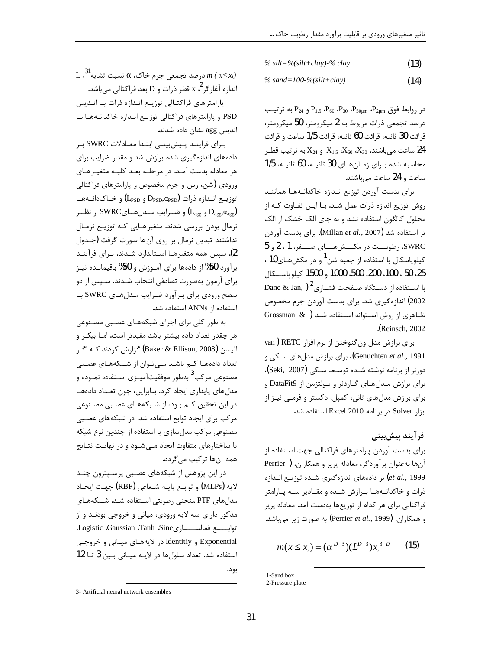$% silt = % (silt + clay) - % clay$  $(13)$ 

 $% sand=100-%silt+clav)$  $(14)$ 

 $P_{24}$ در روابط فوق  $P_{2\mu m}$ ،  $P_{50\mu m}$ ،  $P_{2\mu m}$  و  $P_{24}$  به ترتیب درصد تجمعی ذرات مربوط به 2 میکرومتر، 50 میکرومتر، قرائت 30 ثانيه، قرائت 60 ثانيه، قرائت 1/5 ساعت و قرائت ساعت می باشند. 23 $X_{60}$ ،  $X_{60}$  و  $X_{24}$ به ترتیب قط محاسبه شده برای زمانهای 30 ثانیـه، 60 ثانیـه، 1/5 ساعت و 24 ساعت میباشند.

براى بدست آوردن توزيع انـدازه خاكدانـههـا هماننـد روش توزیع اندازه ذرات عمل شـد. بـا ایـن تفـاوت کـه از محلول کالگون استفاده نشد و به جای الک خشک از الک تر استفاده شد (Millan et al., 2007). برای بدست آوردن SWRC، رطوبست در مكسشهساى صفر، 1 ، 2 و 5 کیلوپاسکال با استفاده از جعبه شن<sup>1</sup> و در مکشهـای10 ، 25، 50 ، 100، 200، 500، 1000 و 1500 كيلوياسكال Dane & Jan, ) استفاده از دسـتگاه صـفحات فشـاری $^{2}$ 2002) اندازهگیری شد. برای بدست آوردن جرم مخصوص ظاهری از روش استوانه استفاده شد ( Grossman & (Reinsch. 2002).

برای برازش مدل ون گنوختن از نرم افزا, RETC ( van Genuchten et al., 1991)، برای برازش مدلهای سکی و دورنر از برنامه نوشته شـده توسـط سـكى (Seki, 2007)، برای برازش مـدلهـای گـاردنر و بـولتزمن از DataFit9 و برای برازش مدل های تانی، کمیل، دکستر و فرمبی نیـز از ابزار Solver در برنامه Excel 2010 استفاده شد.

# فرآيند پيش بيني

برای بدست آوردن پارامترهای فراکتالی جهت استفاده از آنها بهعنوان برآوردگر، معادله پریر و همکاران، ( Perrier et al., 1999) بر دادههای اندازهگیری شـده توزیـع انـدازه ذرات و خاکدانـههـا بـرازش شـده و مقـادیر سـه پـارامتر فراکتالی برای هر کدام از توزیعها بهدست آمد. معادله پریر و همكاران، (Perrier *et al.,* 1999) به صورت زير مي باشد.

$$
m(x \le x_i) = (\alpha^{D-3})(L^{D-3})x_i^{3-D} \qquad (15)
$$

 $\text{L}$  درصد تجمعی جرم خاک،  $\alpha$  نسبت تشابه  $m$  (  $x{\leq}x_i$ ) اندازه آغازگر $^2$ ، x قطر ذرات و D بعد فراکتالی می باشد.

پارامتر های فراکتـالی توزیـع انـدازه ذرات بـا انـدیس PSD و پارامتر های فراکتالی توزیـع انـدازه خاکدانـههـا بـا اندیس agg نشان داده شدند.

براي فراينـد پـيش بينـي ابتـدا معـادلات SWRC بـر دادههای اندازه گیری شده برازش شد و مقدار ضرایب برای هر معادله بدست آمـد. در مرحلـه بعـد كليـه متغيـرهـاى ورودی (شن، رس و جرم مخصوص و پارامترهای فراکتالی  $(L_{\text{PSD}} \bullet L_{\text{PSD}})$  توزيــع انــدازه ذرات  $D_{\text{PSD}}, \alpha_{\text{PSD}}$  و خــاکـدانــههــا و ضرايب مــدلهــاي $\mathrm{SWRC}$ از نظــر  $\mathrm{L_{agg}}$  و  $\mathrm{D_{agg}}$ نرمال بودن بررسی شدند. متغیرهـایی کـه توزیـع نرمـال نداشتند تبدیل نرمال بر روی آنها صورت گرفت (جـدول 2). سپس همه متغیرهـا اسـتاندارد شـدند. بـرای فرآینـد برآورد 50%از دادهها براي آمـوزش و 50% باقيمانـده نيـز برای آزمون بهصورت تصادفی انتخاب شـدند. سـپس از دو سطح ورودي براي برآورد ضرايب مدل هاي SWRC با استفاده از ANNs استفاده شد.

به طور کلی برای اجرای شبکههـای عصـبی مصـنوعی هر چقدر تعداد داده بیشتر باشد مفیدتر است. امـا بیکـر و الیسن (Baker & Ellison, 2008) گزارش کردند کـه اگـر تعداد دادههـا كـم باشـد مـىتوان از شـبكههـاى عصـبى مصنوعی مرکب<sup>3</sup> بهطور موفقیتآمیـزی اسـتفاده نمـوده و مدل های پایداری ایجاد کرد. بنابراین، چون تعداد دادهها در این تحقیق کـم بـود، از شـبکههـای عصـبی مصـنوعی مر کب برای ایجاد توابع استفاده شد. در شبکههای عصبی مصنوعی مرکب مدل سازی با استفاده از چندین نوع شبکه با ساختارهای متفاوت ایجاد مـی شـود و در نهایـت نتـایج همه آنها ترکیب میگردد.

در این پژوهش از شبکههای عصبی پرسپترون چند لايه (MLPs) و توابـع پايــه شــعاعي (RBF) جهـت ايجــاد مدل های PTF منحنی رطوبتی استفاده شـد. شـبکههـای مذکور دارای سه لایه ورودی، میانی و خروجی بودنـد و از توابسع فعالســـــازىLogistic ،Gaussian ،Tanh ،Sine، Exponential و Identitiy در لايههاي ميـاني و خروجـي استفاده شد. تعداد سلولها در لايـه ميـاني بـين 3 تـا 12 بود.

<sup>1-</sup>Sand box

<sup>2-</sup>Pressure plate

<sup>3-</sup> Artificial neural network ensembles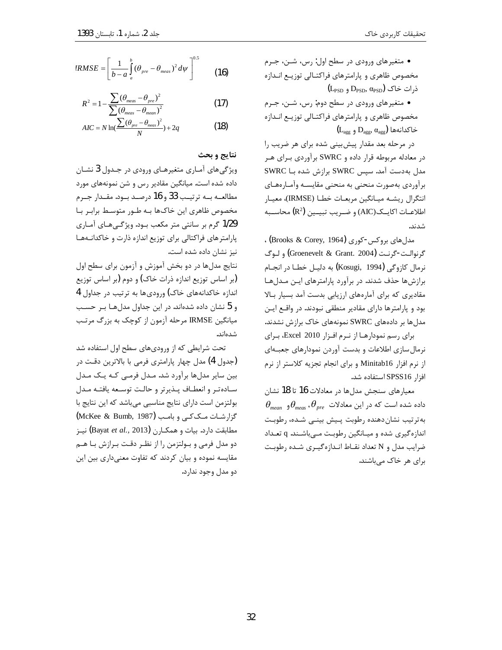• متغیرهای ورودی در سطح اول: رس، شـن، جـرم مخصوص ظاهري و پارامترهاي فراكتـالي توزيـع انـدازه  $(L_{\text{PSD}}$  ذرات خاک  $D_{\text{PSD}}$ ,  $\alpha_{\text{PSD}}$  و

• متغیرهای ورودی در سطح دوم: رس، شـن، جـرم مخصوص ظاهري و پارامترهاي فراكتـالى توزيـع انـدازه  $(L_{\text{agg}}, \alpha_{\text{agg}})$  خاکدانهها  $D_{\text{agg}}, \alpha_{\text{agg}}$ 

در مرحله بعد مقدار پیش بینی شده برای هر ضریب را در معادله مربوطه قرار داده و SWRC برآوردی بـرای هـر مدل به دست آمد. سپس SWRC برازش شده بــا SWRC برآوردي بهصورت منحنى به منحنى مقايسـه وآمـارههـاي انتگرال ريشـه ميـانگين مربعـات خطـا (IRMSE)، معيـار اطلاعـات اكايــكـ(AIC) و ضـريب تبيــين  $\left(\mathbb{R}^2\right)$  محاســبه شدند.

مدل های بروکس-کوری (Brooks & Corey, 1964) ، گرنوالـت-گرنـت (Groenevelt & Grant. 2004) و لـوگ نرمال كازوگى (Kosugi, 1994) به دليـل خطـا در انجـام برازشها حذف شدند. در برآورد پارامترهای ایـن مـدلهـا مقادیری که برای آمارههای ارزیابی بدست آمد بسیار بالا بود و پارامترها دارای مقادیر منطقی نبودند. در واقع ایـن مدلها بر دادههای SWRC نمونههای خاک برازش نشدند.

برای رسم نمودارها از نرم افزار 2010 Excel، برای نرمال سازی اطلاعات و بدست آوردن نمودارهای جعبـهای از نرم افزار Minitab16 و برای انجام تجزیه کلاستر از نرم افزا, SPSS16 استفاده شد.

معیارهای سنجش مدلها در معادلات 16 تا 18 نشان  $\theta_{\scriptscriptstyle mean}$  داده شده است که در این معادلات  $\theta_{\scriptscriptstyle pre}$  ،  $\theta_{\scriptscriptstyle mean}$ به ترتیب نشان دهنده رطوبت پیش بینـی شـده، رطوبـت اندازه گیری شده و میـانگین رطوبـت مـیباشـند. q تعـداد ضرایب مدل و N تعداد نقـاط انـدازهگیـری شـده رطوبـت برای هر خاک میباشند.

$$
RMSE = \left[\frac{1}{b-a}\int_{a}^{b}(\theta_{pre}-\theta_{meas})^2\,d\psi\right]^{0.5}
$$
 (16)

$$
R^2 = 1 - \frac{\sum (\theta_{meas} - \theta_{pre})^2}{\sum (\theta_{meas} - \theta_{mean})^2}
$$
 (17)

$$
AIC = N \ln \left( \frac{\sum (\theta_{pre} - \theta_{meas})^2}{N} \right) + 2q
$$
 (18)

## نتايج و بحث

ویژگیهای آمـاری متغیرهـای ورودی در جـدول 3 نشـان داده شده است. میانگین مقادیر رس و شن نمونههای مورد مطالعــه بــه ترتيــب 33 و 16 درصـد بــود. مقــدار جــرم مخصوص ظاهری این خاکها بـه طـور متوسـط برابـر بـا 1/29 گرم بر سانتی متر مکعب بـود. ویژگـیهـای آمـاری پارامتر های فراکتالی برای توزیع اندازه ذارت و خاکدانهها نیز نشان داده شده است.

نتایج مدلها در دو بخش آموزش و آزمون برای سطح اول (بر اساس توزیع اندازه ذرات خاک) و دوم (بر اساس توزیع اندازه خاکدانههای خاک) ورودیها به ترتیب در جداول 4 و 5 نشان داده شدهاند. در این جداول مدلهـا بـر حسـب میانگین IRMSE مرحله آزمون از کوچک به بزرگ مرتب شدەاند.

تحت شرایطی که از ورودیهای سطح اول استفاده شد (جدول 4) مدل چهار پارامتری فرمی با بالاترین دقـت در بین سایر مدلها برآورد شد. مدل فرمی کـه یـک مـدل سادهتر وانعطاف يذيرتر وحالت توسعه يافتـه مـدل بولتزمن است داراي نتايج مناسبي ميباشد كه اين نتايج با گزارشات مککی و بامب (McKee & Bumb, 1987) مطابقت دارد. بيات و همكـارن (Bayat et al., 2013) نيـز دو مدل فرمی و بولتزمن را از نظر دقت برازش با هـم مقایسه نموده و بیان کردند که تفاوت معنیداری بین این دو مدل وجود ندارد.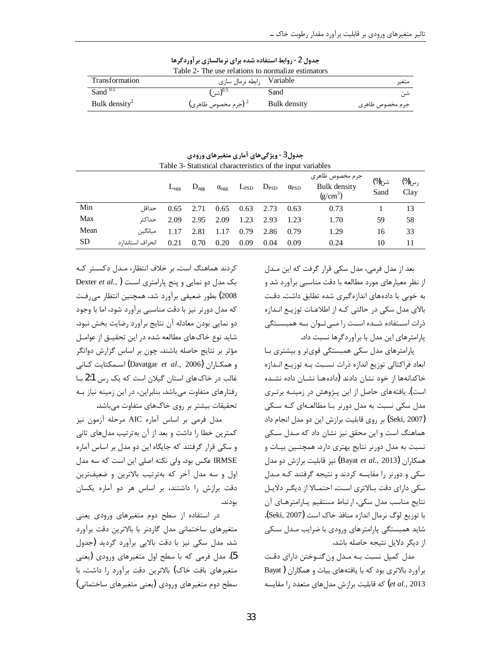|                           | Table 2- The use relations to normalize estimators |              |                 |
|---------------------------|----------------------------------------------------|--------------|-----------------|
| <b>Transformation</b>     | رابطه نرمال سازي Variable                          |              | متغير           |
| Sand $0.5$                | $(\cdot)_{\hat{\mathfrak{m}}}$ شى) $^{0.5}$        | Sand         | شن              |
| Bulk density <sup>2</sup> | جرم مخصوص ظاهری) $^2$                              | Bulk density | جرم مخصوص ظاهري |

جدول 2- روابط استفاده شده برای نرمالسازی بر آوردگرها

| Table 3- Statistical characteristics of the input variables |                   |                  |                  |                       |                     |      |                       |                                               |               |               |
|-------------------------------------------------------------|-------------------|------------------|------------------|-----------------------|---------------------|------|-----------------------|-----------------------------------------------|---------------|---------------|
|                                                             |                   | $L_{\text{age}}$ | $D_{\text{age}}$ | $\alpha_{\text{agg}}$ | $L_{PSD}$ $D_{PSD}$ |      | $\alpha_{\text{PSD}}$ | جرم مخصوص ظاهرى<br>Bulk density<br>$(g/cm^3)$ | شن(%)<br>Sand | رس(%)<br>Clay |
| Min                                                         | حداقا ِ           | 0.65             | 2.71             | 0.65                  | 0.63                | 2.73 | 0.63                  | 0.73                                          |               | 13            |
| Max                                                         | حداكثر            | 2.09             | 2.95             | 2.09                  | 1.23                | 2.93 | 1.23                  | 1.70                                          | 59            | 58            |
| Mean                                                        | مىانگىن           | 1.17             | 2.81             | 1.17                  | 0.79                | 2.86 | 0.79                  | 1.29                                          | 16            | 33            |
| <b>SD</b>                                                   | انحراف استاندار د | 0.21             | 0.70             | 0.20                  | 0.09                | 0.04 | 0.09                  | 0.24                                          | 10            | 11            |

جدول3 - ویژگی های آماری متغیرهای ورودی

بعد از مدل فرمي، مدل سكي قرار گرفت كه اين مـدل از نظر معیارهای مورد مطالعه با دقت مناسبی برآورد شد و به خوبی با دادههای اندازهگیری شده تطابق داشت. دقت بالای مدل سکی در حالتی کـه از اطلاعـات توزیـع انـدازه ذرات استفاده شـده اسـت را مـی تـوان بـه همبسـتگی یارامترهای این مدل با برآوردگرها نسبت داد.

پارامترهای مدل سکی همبستگی قویتر و بیشتری بـا ابعاد فراكتالي توزيع اندازه ذرات نسبت بـه توزيـع انـدازه خاكدانهها از خود نشان دادند (دادههـا نشـان داده نشـده است). یافتههای حاصل از این پـژوهش در زمینــه برتـری مدل سکی نسبت به مدل دورنر بـا مطالعــهای کـه ســکی (Seki, 2007) بر روى قابليت برازش اين دو مدل انجام داد هماهنگ است و این محقق نیز نشان داد که مـدل سـکی نسبت به مدل دورنر نتایج بهتری دارد. همچنـین بیـات و همکاران (Bayat *et al.,* 2013) نیز قابلیت برازش دو مدل سکی و دورنر را مقایسه کردند و نتیجه گرفتند کـه مـدل سکی دارای دقت بـالاتری اسـت. احتمـالا از دیگـر دلایـل نتايج مناسب مدل سكي، ارتباط مستقيم پارامترهاي آن با توزيع لوگ نرمال اندازه منافذ خاک است (Seki, 2007). شاید همبستگی پارامترهای ورودی با ضرایب مـدل سـکی از دیگر دلایل نتیجه حاصله باشد.

مدل کمپل نسبت بـه مـدل ونگنـوختن داراي دقـت برآورد بالاتری بود که با یافتههای بیات و همکاران ( Bayat et al., 2013) که قابلیت برازش مدلهای متعدد را مقایسه

کردند هماهنگ است. بر خلاف انتظار، مـدل دکسـتر کـه Dexter et al., ) يک مدل دو نمايي و پنج پارامتري است 2008) بطور ضعیفی برآورد شد. همچنین انتظار می رفت که مدل دورنر نیز با دقت مناسبی برآورد شود، اما با وجود دو نمایی بودن معادله آن نتایج برآورد رضایت بخش نبود. شاید نوع خاکهای مطالعه شده در این تحقیــق از عوامــل مؤثر بر نتایج حاصله باشند. چون بر اساس گزارش دواتگر و همكـاران (Davatgar *et al*., 2006) اســمكتايت كـانى غالب در خاک های استان گیلان است که یک رس 2:1 بـا رفتارهای متفاوت می باشد. بنابراین، در این زمینه نیاز بـه تحقیقات بیشتر بر روی خاکهای متفاوت می باشد.

مدل فرمي بر اساس آماره AIC مرحله آزمون نيز كمترين خطا را داشت و بعد از آن بهترتيب مدلهاى تانى و سکی قرار گرفتند که جایگاه این دو مدل بر اساس آماره IRMSE عكس بود. ولي نكته اصلي اين است كه سه مدل اول و سه مدل آخر که بهترتیب بالاترین و ضعیفترین دقت برازش را داشتند، بر اساس هر دو آماره یکسان بودند.

در استفاده از سطح دوم متغیرهای ورودی یعنی متغیرهای ساختمانی مدل گاردنر با بالاترین دقت برآورد شد. مدل سکی نیز با دقت بالایی برآورد گردید (جدول 5). مدل فرمی که با سطح اول متغیرهای ورودی (یعنی متغیرهای بافت خاک) بالاترین دقت برآورد را داشت، با سطح دوم متغیرهای ورودی (یعنی متغیرهای ساختمانی)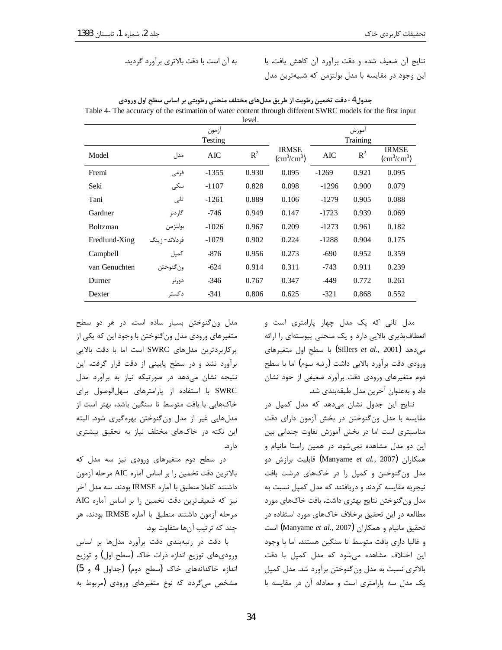نتايج آن ضعيف شده و دقت برآورد آن كاهش يافت. با این وجود در مقایسه با مدل بولتزمن که شبیهترین مدل

|                 |                | ازمون   | revel. |                                             |         | اموزش |                                             |
|-----------------|----------------|---------|--------|---------------------------------------------|---------|-------|---------------------------------------------|
|                 | Testing        |         |        | Training                                    |         |       |                                             |
| Model           | مدل            | AIC     | $R^2$  | <b>IRMSE</b><br>$\text{(cm}^3\text{/cm}^3)$ | AIC     | $R^2$ | <b>IRMSE</b><br>$\text{(cm}^3\text{/cm}^3)$ |
| Fremi           | فرمى           | $-1355$ | 0.930  | 0.095                                       | $-1269$ | 0.921 | 0.095                                       |
| Seki            | سکی            | $-1107$ | 0.828  | 0.098                                       | $-1296$ | 0.900 | 0.079                                       |
| Tani            | تانى           | $-1261$ | 0.889  | 0.106                                       | $-1279$ | 0.905 | 0.088                                       |
| Gardner         | گا, دنر        | $-746$  | 0.949  | 0.147                                       | $-1723$ | 0.939 | 0.069                                       |
| <b>Boltzman</b> | بولتزمن        | $-1026$ | 0.967  | 0.209                                       | $-1273$ | 0.961 | 0.182                                       |
| Fredlund-Xing   | فردلاند- ; ينگ | $-1079$ | 0.902  | 0.224                                       | $-1288$ | 0.904 | 0.175                                       |
| Campbell        | كمپل           | $-876$  | 0.956  | 0.273                                       | $-690$  | 0.952 | 0.359                                       |
| van Genuchten   | ون گنوختن      | $-624$  | 0.914  | 0.311                                       | $-743$  | 0.911 | 0.239                                       |
| Durner          | دورنر          | $-346$  | 0.767  | 0.347                                       | -449    | 0.772 | 0.261                                       |
| Dexter          | دكستر          | $-341$  | 0.806  | 0.625                                       | $-321$  | 0.868 | 0.552                                       |

جدول 4 - دقت تخمین رطوبت از طریق مدلهای مختلف منحنی رطوبتی بر اساس سطح اول ورودی Table 4- The accuracy of the estimation of water content through different SWRC models for the first input

> مدل تانی که یک مدل چهار پارامتری است و انعطاف پذیری بالایی دارد و یک منحنی پیوستهای را ارائه با سطح اول متغيرهاى (Sillers et al., 2001) ورودي دقت برآورد بالايي داشت (رتبه سوم) اما با سطح دوم متغیرهای ورودی دقت برآورد ضعیفی از خود نشان داد و بهعنوان آخرین مدل طبقهبندی شد.

> نتایج این جدول نشان میدهد که مدل کمپل در مقایسه با مدل ونگنوختن در بخش آزمون دارای دقت مناسبتری است اما در بخش آموزش تفاوت چندانی بین این دو مدل مشاهده نمیشود. در همین راستا مانیام و همكا,ا<sub>ن</sub> (Manyame *et al.,* 2007) قابليت برازش دو مدل ونگنوختن و کمپل را در خاکهای درشت بافت نیجریه مقایسه کردند و دریافتند که مدل کمپل نسبت به مدل ون گنوختن نتايج بهتري داشت. بافت خاكهاي مورد مطالعه در این تحقیق برخلاف خاکهای مورد استفاده در است (Manyame et al., 2007) تحقيق مانيام و همكاران و غالبا داری بافت متوسط تا سنگین هستند. اما با وجود این اختلاف مشاهده می شود که مدل کمپل با دقت بالاتری نسبت به مدل ون گنوختن برآورد شد. مدل کمیل یک مدل سه پارامتری است و معادله آن در مقایسه با

مدل ون گنوختن بسیار ساده است. در هر دو سطح متغیرهای ورودی مدل ون گنوختن با وجود این که یکی از پرکاربردترین مدلهای SWRC است اما با دقت بالایی برآورد نشد و در سطح پایینی از دقت قرار گرفت. این نتیجه نشان میدهد در صورتیکه نیاز به برآورد مدل SWRC با استفاده از پارامترهای سهلاالوصول برای خاکهایی با بافت متوسط تا سنگین باشد، بهتر است از مدلهايي غير از مدل ونگنوختن بهرهگيري شود. البته این نکته در خاکهای مختلف نیاز به تحقیق بیشتری دار د.

در سطح دوم متغیرهای ورودی نیز سه مدل که بالاترين دقت تخمين را بر اساس آماره AIC مرحله آزمون داشتند كاملا منطبق با آماره IRMSE بودند. سه مدل آخر نیز که ضعیفترین دقت تخمین را بر اساس آماره AIC مرحله آزمون داشتند منطبق با آماره IRMSE بودند، هر چند که ترتیب آنها متفاوت بود.

با دقت در رتبهبندی دقت برآورد مدلها بر اساس ورودیهای توزیع اندازه ذرات خاک (سطح اول) و توزیع اندازه خاکدانههای خاک (سطح دوم) (جداول 4 و 5) مشخص میگردد که نوع متغیرهای ورودی (مربوط به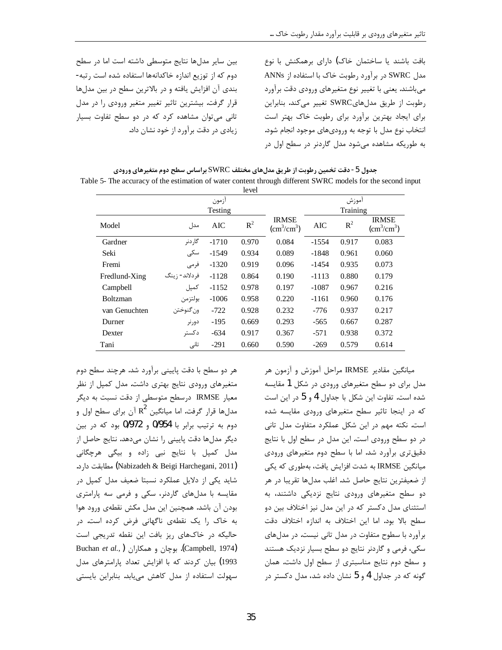بین سایر مدلها نتایج متوسطی داشته است اما در سطح دوم که از توزیع اندازه خاکدانهها استفاده شده است رتبه-بندی آن افزایش یافته و در بالاترین سطح در بین مدلها قرار گرفت. بیشترین تاثیر تغییر متغیر ورودی را در مدل تانی می توان مشاهده کرد که در دو سطح تفاوت بسیار زیادی در دقت برآورد از خود نشان داد.

بافت باشند یا ساختمان خاک) دارای برهمکنش با نوع مدل SWRC در برآورد رطوبت خاک با استفاده از ANNs می باشند. یعنی با تغییر نوع متغیرهای ورودی دقت برآورد رطوبت از طريق مدلهاىSWRC تغيير مى كند. بنابراين برای ایجاد بهترین برآورد برای رطوبت خاک بهتر است انتخاب نوع مدل با توجه به وروديهاي موجود انجام شود. به طوریکه مشاهده می شود مدل گاردنر در سطح اول در

جدول 5- دقت تخمین رطوبت از طریق مدلهای مختلف SWRC براساس سطح دوم متغیرهای ورودی Table 5- The accuracy of the estimation of water content through different SWRC models for the second input

|                 |                |          | level |                                             |            |       |                                             |  |  |
|-----------------|----------------|----------|-------|---------------------------------------------|------------|-------|---------------------------------------------|--|--|
| ازمون           |                |          |       |                                             | أموزش      |       |                                             |  |  |
|                 |                | Training |       |                                             |            |       |                                             |  |  |
| Model           | مدل            | AIC      | $R^2$ | <b>IRMSE</b><br>$\text{(cm}^3\text{/cm}^3)$ | <b>AIC</b> | $R^2$ | <b>IRMSE</b><br>$\text{(cm}^3\text{/cm}^3)$ |  |  |
| Gardner         | گار دنر        | $-1710$  | 0.970 | 0.084                                       | $-1554$    | 0.917 | 0.083                                       |  |  |
| Seki            | سکے            | $-1549$  | 0.934 | 0.089                                       | $-1848$    | 0.961 | 0.060                                       |  |  |
| Fremi           | فرمى           | $-1320$  | 0.919 | 0.096                                       | $-1454$    | 0.935 | 0.073                                       |  |  |
| Fredlund-Xing   | فردلاند- ; ينگ | $-1128$  | 0.864 | 0.190                                       | $-1113$    | 0.880 | 0.179                                       |  |  |
| Campbell        | كمپل           | $-1152$  | 0.978 | 0.197                                       | $-1087$    | 0.967 | 0.216                                       |  |  |
| <b>Boltzman</b> | بولتزمن        | $-1006$  | 0.958 | 0.220                                       | $-1161$    | 0.960 | 0.176                                       |  |  |
| van Genuchten   | ون گنوختن      | $-722$   | 0.928 | 0.232                                       | -776       | 0.937 | 0.217                                       |  |  |
| Durner          | دور نر         | $-195$   | 0.669 | 0.293                                       | $-565$     | 0.667 | 0.287                                       |  |  |
| Dexter          | دكستر          | $-634$   | 0.917 | 0.367                                       | $-571$     | 0.938 | 0.372                                       |  |  |
| Tani            | تانى           | $-291$   | 0.660 | 0.590                                       | $-269$     | 0.579 | 0.614                                       |  |  |

هر دو سطح با دقت پایینی برآورد شد. هرچند سطح دوم متغیرهای ورودی نتایج بهتری داشت. مدل کمپل از نظر معیار IRMSE درسطح متوسطی از دقت نسبت به دیگر مدلها قرار گرفت. اما میانگین  $\, {\rm R}^2 \,$  آن برای سطح اول و دوم به ترتیب برابر با 0/954 و 0/972 بود که در بین دیگر مدلها دقت پایینی را نشان میدهد. نتایج حاصل از مدل کمپل با نتایج نبی زاده و بیگی هرچگانی (Nabizadeh & Beigi Harchegani, 2011) مطابقت دارد. شاید یکی از دلایل عملکرد نسبتا ضعیف مدل کمپل در مقایسه با مدلهای گاردنر، سکی و فرمی سه پارامتری بودن آن باشد. همچنین این مدل مکش نقطهی ورود هوا به خاک را یک نقطهی ناگهانی فرض کرده است. در حالیکه در خاکهای ریز بافت این نقطه تدریجی است Buchan et al., ) بوچان و همکاران. Buchan et al., ) 1993) بیان کردند که با افزایش تعداد پارامترهای مدل سهولت استفاده از مدل کاهش می یابد. بنابراین بایستی

میانگین مقادیر IRMSE مراحل آموزش و آزمون هر مدل برای دو سطح متغیرهای ورودی در شکل 1 مقایسه شده است. تفاوت این شکل با جداول 4 و 5 در این است که در اینجا تاثیر سطح متغیرهای ورودی مقایسه شده است. نكته مهم در اين شكل عملكرد متفاوت مدل تاني در دو سطح ورودی است. این مدل در سطح اول با نتایج دقیقتری برآورد شد. اما با سطح دوم متغیرهای ورودی میانگین IRMSE به شدت افزایش یافت، بهطوری که یکی از ضعيفترين نتايج حاصل شد. اغلب مدلها تقريبا در هر دو سطح متغیرهای ورودی نتایج نزدیکی داشتند، به استثنای مدل دکستر که در این مدل نیز اختلاف بین دو سطح بالا بود. اما این اختلاف به اندازه اختلاف دقت برآورد با سطوح متفاوت در مدل تانی نیست. در مدلهای سکی، فرمی و گاردنر نتایج دو سطح بسیار نزدیک هستند و سطح دوم نتايج مناسبترى از سطح اول داشت. همان گونه که در جداول 4 و 5 نشان داده شد، مدل دکستر در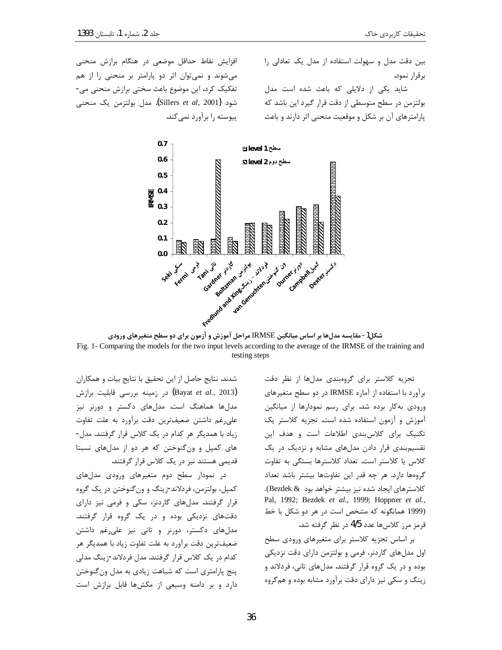افزایش نقاط حداقل موضعی در هنگام برازش منحنی می شوند و نمی توان اثر دو پارامتر بر منحنی را از هم تفکیک کرد. این موضوع باعث سختی برازش منحنی می-شود (Sillers *et al*, 2001**)**. مدل بولتزمن يک منحنى پیوسته را برآورد نمی کند. بین دقت مدل و سهولت استفاده از مدل یک تعادلی را برقرار نمود.

شاید یکی از دلایلی که باعث شده است مدل بولتزمن در سطح متوسطی از دقت قرار گیرد این باشد که پارامترهای آن بر شکل و موقعیت منحنی اثر دارند و باعث



شکل1- مقایسه مدلها بر اساس میانگین IRMSE مراحل آموزش و آزمون برای دو سطح متغیرهای ورودی Fig. 1- Comparing the models for the two input levels according to the average of the IRMSE of the training and testing steps

تجزیه کلاستر برای گروهبندی مدلها از نظر دقت برآورد با استفاده از آماره IRMSE در دو سطح متغیرهای ورودی به کار برده شد. برای رسم نمودارها از میانگین آموزش و آزمون استفاده شده است. تجزیه کلاستر یک تکنیک برای کلاس،بندی اطلاعات است و هدف این تقسیم بندی قرار دادن مدلهای مشابه و نزدیک در یک كلاس يا كلاستر است. تعداد كلاسترها بستگى به تفاوت گروهها دارد. هر چه قدر این تفاوتها بیشتر باشد تعداد كلاسترهاي ايجاد شده نيز بيشتر خواهد بود & Bezdek). Pal, 1992; Bezdek et al., 1999; Hoppner et al., (1999 همانگونه که مشخص است در هر دو شکل با خط قرمز مرز كلاسها عدد 4/5 در نظر گرفته شد.

بر اساس تجزیه کلاستر برای متغیرهای ورودی سطح اول مدلهای گاردنر، فرمی و بولتزمن دارای دقت نزدیکی بوده و در یک گروه قرار گرفتند. مدلهای تانی، فردلاند و زینگ و سکی نیز دارای دقت برآورد مشابه بوده و همگروه

شدند. نتايج حاصل از اين تحقيق با نتايج بيات و همكاران (Bayat *et al.*, 2013) در زمینه بررسی قابلیت برازش مدلها هماهنگ است. مدلهای دکستر و دورنر نیز علی رغم داشتن ضعیفترین دقت برآورد به علت تفاوت زیاد با همدیگر هر کدام در یک کلاس قرار گرفتند. مدل-های کمپل و ونگنوختن که هر دو از مدلهای نسبتا قدیمی هستند نیز در یک کلاس قرار گرفتند.

در نمودار سطح دوم متغیرهای ورودی مدلهای کمپل، بولتزمن، فردلاند-زينگ و ون گنوختن در يک گروه قرار گرفتند. مدلهای گاردنر، سکی و فرمی نیز دارای دقتهای نزدیکی بوده و در یک گروه قرار گرفتند. مدلهای دکستر، دورنر و تانی نیز علی رغم داشتن ضعيفترين دقت برآورد به علت تفاوت زياد با همديگر هر کدام در یک کلاس قرار گرفتند. مدل فردلاند-زینگ مدلی ینج پارامتری است که شباهت زیادی به مدل ون گنوختن دارد و بر دامنه وسیعی از مکشها قابل برازش است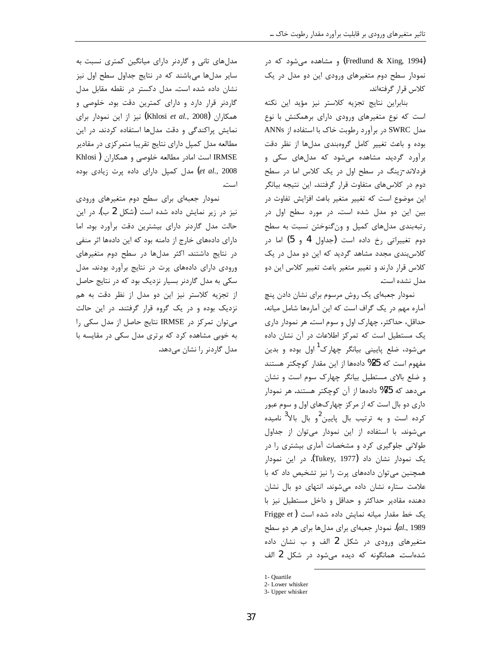(Fredlund & Xing, 1994) و مشاهده میشود که در نمودار سطح دوم متغیرهای ورودی این دو مدل در یک كلاس قرار گرفتهاند.

بنابراین نتایج تجزیه کلاستر نیز مؤید این نکته است که نوع متغیرهای ورودی دارای برهمکنش با نوع مدل SWRC در برآورد رطوبت خاک با استفاده از ANNs بوده و باعث تغيير كامل گروهبندى مدلها از نظر دقت برآورد گردید. مشاهده میشود که مدلهای سکی و فردلاند-زینگ در سطح اول در یک کلاس اما در سطح دوم در کلاسهای متفاوت قرار گرفتند. این نتیجه بیانگر این موضوع است که تغییر متغیر باعث افزایش تفاوت در بین این دو مدل شده است. در مورد سطح اول در رتبهبندی مدلهای کمپل و ونگنوختن نسبت به سطح دوم تغییراتی رخ داده است (جداول 4 و 5) اما در کلاس بندی مجدد مشاهد گردید که این دو مدل در یک كلاس قرار دارند و تغيير متغير باعث تغيير كلاس اين دو مدل نشده است.

نمودار جعبهای یک روش مرسوم برای نشان دادن پنچ آماره مهم در یک گراف است که این آمارهها شامل میانه، حداقل، حداکثر، چهارک اول و سوم است. هر نمودار داری یک مستطیل است که تمرکز اطلاعات در آن نشان داده میشود، ضلع پایینی بیانگر چهارک<sup>1</sup> اول بوده و بدین مفهوم است که 25% دادهها از این مقدار کوچکتر هستند و ضلع بالای مستطیل بیانگر چهارک سوم است و نشان میدهد که 75% دادمها از آن کوچکتر هستند. هر نمودار داری دو بال است که از مرکز چهارکهای اول و سوم عبور کرده است و به ترتیب بال پایین<sup>2</sup>و بال بالا<sup>3</sup> نامیده می شوند. با استفاده از این نمودار می توان از جداول طولانی جلوگیری کرد و مشخصات آماری بیشتری را در یک نمودار نشان داد (Tukey, 1977). در این نمودار همچنین می توان دادههای پرت را نیز تشخیص داد که با علامت ستاره نشان داده می شوند. انتهای دو بال نشان دهنده مقادیر حداکثر و حداقل و داخل مستطیل نیز با Frigge et) یک خط مقدار میانه نمایش داده شده است al., 1989). نمودار جعبهای برای مدلها برای هر دو سطح متغیرهای ورودی در شکل 2 الف و ب نشان داده شده است. همانگونه که دیده می شود در شکل 2 الف

1- Quartile

مدلهای تانی و گاردنر دارای میانگین کمتری نسبت به سایر مدلها می باشند که در نتایج جداول سطح اول نیز نشان داده شده است. مدل دکستر در نقطه مقابل مدل گاردنر قرار دارد و دارای کمترین دقت بود. خلوصی و همكاران (Khlosi et al., 2008) نيز از اين نمودار براي نمایش پراکندگی و دقت مدلها استفاده کردند. در این مطالعه مدل کمپل دارای نتایج تقریبا متمرکزی در مقادیر IRMSE است امادر مطالعه خلوصی و همکاران ( Khlosi et al., 2008) مدل کمپل دارای داده پرت زیادی بوده است.

نمودار جعبهای برای سطح دوم متغیرهای ورودی نیز در زیر نمایش داده شده است (شکل 2 ب). در این حالت مدل گاردنر دارای بیشترین دقت برآورد بود. اما دارای دادههای خارج از دامنه بود که این دادهها اثر منفی در نتایج داشتند. اکثر مدلها در سطح دوم متغیرهای ورودی دارای دادههای پرت در نتایج برآورد بودند. مدل سکی به مدل گاردنر بسیار نزدیک بود که در نتایج حاصل از تجزیه کلاستر نیز این دو مدل از نظر دقت به هم نزدیک بوده و در یک گروه قرار گرفتند. در این حالت می توان تمرکز در IRMSE نتایج حاصل از مدل سکی را به خوبی مشاهده کرد که برتری مدل سکی در مقایسه با مدل گاردنر را نشان میدهد.

<sup>2-</sup> Lower whisker

<sup>3-</sup> Upper whisker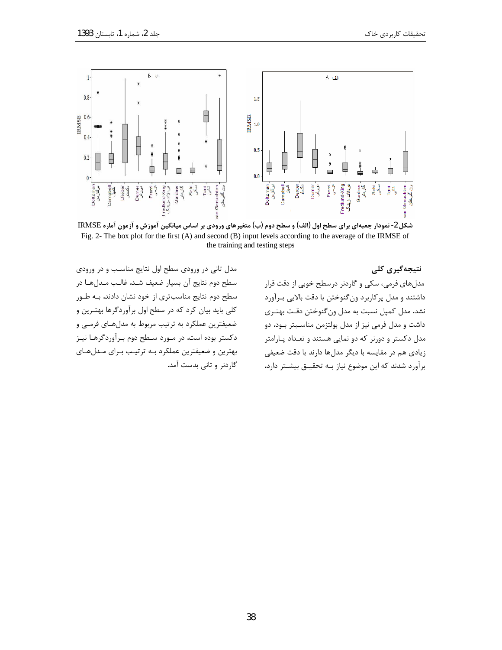

شکل 2- نمودار جعبهای برای سطح اول (الف) و سطح دوم (ب) متغیرهای ورودی بر اساس میانگین آموزش و آزمون آماره IRMSE Fig. 2- The box plot for the first (A) and second (B) input levels according to the average of the IRMSE of the training and testing steps

نتیجهگیری کلی مدلهای فرمی، سکی و گاردنر درسطح خوبی از دقت قرار داشتند و مدل پرکاربرد ونگنوختن با دقت بالایی بـرآورد نشد. مدل کمپل نسبت به مدل ونگنوختن دقت بهتـري داشت و مدل فرمی نیز از مدل بولتزمن مناسـبتر بـود. دو مدل دکستر و دورنر که دو نمایی هستند و تعـداد پـارامتر زیادی هم در مقایسه با دیگر مدلها دارند با دقت ضعیفی برآورد شدند که این موضوع نیاز بـه تحقیـق بیشـتر دارد.

مدل تانی در ورودی سطح اول نتایج مناسب و در ورودی سطح دوم نتايج آن بسيار ضعيف شـد. غالـب مـدلهـا در سطح دوم نتایج مناسب تری از خود نشان دادند. بـه طـور کلی باید بیان کرد که در سطح اول برآوردگرها بهتـرین و ضعیفترین عملکرد به ترتیب مربوط به مدلهـای فرمـی و دکستر بوده است. در مـورد سـطح دوم بـرآوردگرهـا نيـز بهترین و ضعیفترین عملکرد بـه ترتیـب بـرای مـدلهـای گاردنر و تانی بدست آمد.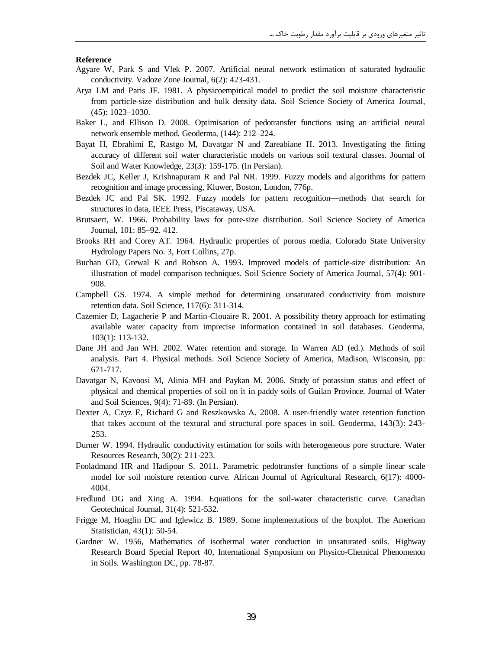#### **Reference**

- Agyare W, Park S and Vlek P. 2007. Artificial neural network estimation of saturated hydraulic conductivity. Vadoze Zone Journal, 6(2): 423-431.
- Arya LM and Paris JF. 1981. A physicoempirical model to predict the soil moisture characteristic from particle-size distribution and bulk density data. Soil Science Society of America Journal, (45): 1023–1030.
- Baker L, and Ellison D. 2008. Optimisation of pedotransfer functions using an artificial neural network ensemble method. Geoderma, (144): 212–224.
- Bayat H, Ebrahimi E, Rastgo M, Davatgar N and Zareabiane H. 2013. Investigating the fitting accuracy of different soil water characteristic models on various soil textural classes. Journal of Soil and Water Knowledge, 23(3): 159-175. (In Persian).
- Bezdek JC, Keller J, Krishnapuram R and Pal NR. 1999. Fuzzy models and algorithms for pattern recognition and image processing, Kluwer, Boston, London, 776p.
- Bezdek JC and Pal SK. 1992. Fuzzy models for pattern recognition—methods that search for structures in data, IEEE Press, Piscataway, USA.
- Brutsaert, W. 1966. Probability laws for pore-size distribution. Soil Science Society of America Journal, 101: 85–92. 412.
- Brooks RH and Corey AT. 1964. Hydraulic properties of porous media. Colorado State University Hydrology Papers No. 3, Fort Collins, 27p.
- Buchan GD, Grewal K and Robson A. 1993. Improved models of particle-size distribution: An illustration of model comparison techniques. Soil Science Society of America Journal, 57(4): 901- 908.
- Campbell GS. 1974. A simple method for determining unsaturated conductivity from moisture retention data. Soil Science, 117(6): 311-314.
- Cazemier D, Lagacherie P and Martin-Clouaire R. 2001. A possibility theory approach for estimating available water capacity from imprecise information contained in soil databases. Geoderma, 103(1): 113-132.
- Dane JH and Jan WH. 2002. Water retention and storage. In Warren AD (ed.). Methods of soil analysis. Part 4. Physical methods. Soil Science Society of America, Madison, Wisconsin, pp: 671-717.
- Davatgar N, Kavoosi M, Alinia MH and Paykan M. 2006. Study of potassiun status and effect of physical and chemical properties of soil on it in paddy soils of Guilan Province. Journal of Water and Soil Sciences, 9(4): 71-89. (In Persian).
- Dexter A, Czyz E, Richard G and Reszkowska A. 2008. A user-friendly water retention function that takes account of the textural and structural pore spaces in soil. Geoderma, 143(3): 243- 253.
- Durner W. 1994. Hydraulic conductivity estimation for soils with heterogeneous pore structure. Water Resources Research, 30(2): 211-223.
- Fooladmand HR and Hadipour S. 2011. Parametric pedotransfer functions of a simple linear scale model for soil moisture retention curve. African Journal of Agricultural Research, 6(17): 4000- 4004.
- Fredlund DG and Xing A. 1994. Equations for the soil-water characteristic curve. Canadian Geotechnical Journal, 31(4): 521-532.
- Frigge M, Hoaglin DC and Iglewicz B. 1989. Some implementations of the boxplot. The American Statistician, 43(1): 50-54.
- Gardner W. 1956, Mathematics of isothermal water conduction in unsaturated soils. Highway Research Board Special Report 40, International Symposium on Physico-Chemical Phenomenon in Soils. Washington DC, pp. 78-87.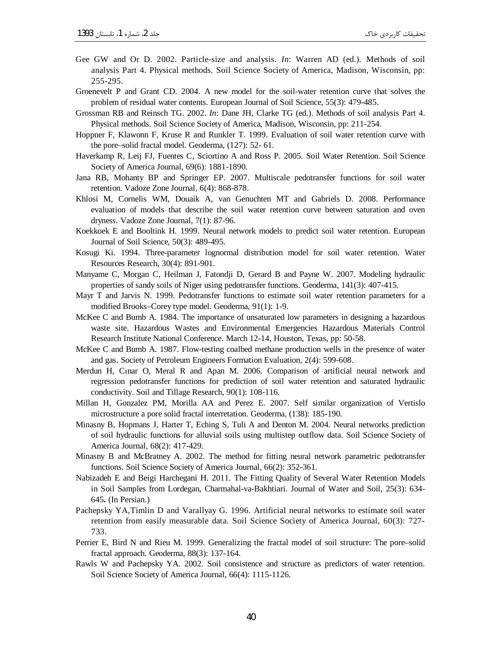- Gee GW and Or D. 2002. Particle-size and analysis. *In*: Warren AD (ed.). Methods of soil analysis Part 4. Physical methods. Soil Science Society of America, Madison, Wisconsin, pp: 255-295.
- Groenevelt P and Grant CD. 2004. A new model for the soil-water retention curve that solves the problem of residual water contents. European Journal of Soil Science, 55(3): 479-485.
- Grossman RB and Reinsch TG. 2002. *In*: Dane JH, Clarke TG (ed.). Methods of soil analysis Part 4. Physical methods. Soil Science Society of America, Madison, Wisconsin, pp: 211-254.
- Hoppner F, Klawonn F, Kruse R and Runkler T. 1999. Evaluation of soil water retention curve with the pore–solid fractal model. Geoderma, (127): 52- 61.
- Haverkamp R, Leij FJ, Fuentes C, Sciortino A and Ross P. 2005. Soil Water Retention. Soil Science Society of America Journal, 69(6): 1881-1890.
- Jana RB, Mohanty BP and Springer EP. 2007. Multiscale pedotransfer functions for soil water retention. Vadoze Zone Journal, 6(4): 868-878.
- Khlosi M, Cornelis WM, Douaik A, van Genuchten MT and Gabriels D. 2008. Performance evaluation of models that describe the soil water retention curve between saturation and oven dryness. Vadoze Zone Journal, 7(1): 87-96.
- Koekkoek E and Booltink H. 1999. Neural network models to predict soil water retention. European Journal of Soil Science, 50(3): 489-495.
- Kosugi Ki. 1994. Three-parameter lognormal distribution model for soil water retention. Water Resources Research, 30(4): 891-901.
- Manyame C, Morgan C, Heilman J, Fatondji D, Gerard B and Payne W. 2007. Modeling hydraulic properties of sandy soils of Niger using pedotransfer functions. Geoderma, 141(3): 407-415.
- Mayr T and Jarvis N. 1999. Pedotransfer functions to estimate soil water retention parameters for a modified Brooks–Corey type model. Geoderma, 91(1): 1-9.
- McKee C and Bumb A. 1984. The importance of unsaturated low parameters in designing a hazardous waste site. Hazardous Wastes and Environmental Emergencies Hazardous Materials Control Research Institute National Conference. March 12-14, Houston, Texas, pp: 50-58.
- McKee C and Bumb A. 1987. Flow-testing coalbed methane production wells in the presence of water and gas. Society of Petroleum Engineers Formation Evaluation, 2(4): 599-608.
- Merdun H, Cinar O, Meral R and Apan M. 2006. Comparison of artificial neural network and regression pedotransfer functions for prediction of soil water retention and saturated hydraulic conductivity. Soil and Tillage Research, 90(1): 108-116.
- Millan H, Gonzalez PM, Morilla AA and Perez E. 2007. Self similar organization of Vertislo microstructure a pore solid fractal interretation. Geoderma, (138): 185-190.
- Minasny B, Hopmans J, Harter T, Eching S, Tuli A and Denton M. 2004. Neural networks prediction of soil hydraulic functions for alluvial soils using multistep outflow data. Soil Science Society of America Journal, 68(2): 417-429.
- Minasny B and McBratney A. 2002. The method for fitting neural network parametric pedotransfer functions. Soil Science Society of America Journal, 66(2): 352-361.
- Nabizadeh E and Beigi Harchegani H. 2011. The Fitting Quality of Several Water Retention Models in Soil Samples from Lordegan, Charmahal-va-Bakhtiari. Journal of Water and Soil, 25(3): 634- 645**.** (In Persian.)
- Pachepsky YA,Timlin D and Varallyay G. 1996. Artificial neural networks to estimate soil water retention from easily measurable data. Soil Science Society of America Journal, 60(3): 727- 733.
- Perrier E, Bird N and Rieu M. 1999. Generalizing the fractal model of soil structure: The pore–solid fractal approach. Geoderma, 88(3): 137-164.
- Rawls W and Pachepsky YA. 2002. Soil consistence and structure as predictors of water retention. Soil Science Society of America Journal, 66(4): 1115-1126.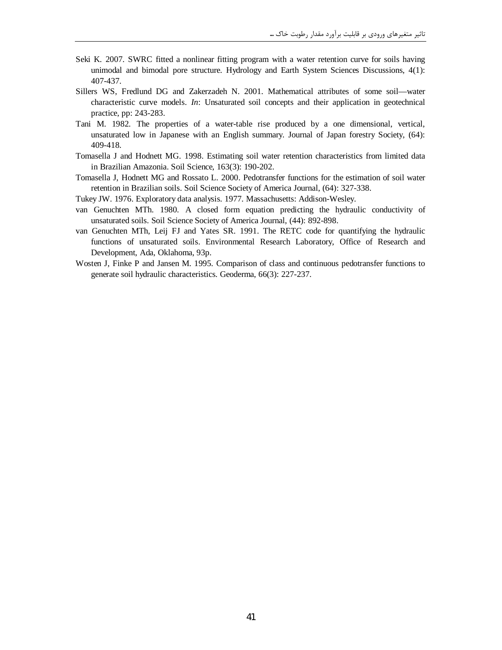- Seki K. 2007. SWRC fitted a nonlinear fitting program with a water retention curve for soils having unimodal and bimodal pore structure. Hydrology and Earth System Sciences Discussions, 4(1): 407-437.
- Sillers WS, Fredlund DG and Zakerzadeh N. 2001. Mathematical attributes of some soil—water characteristic curve models. *In*: Unsaturated soil concepts and their application in geotechnical practice, pp: 243-283.
- Tani M. 1982. The properties of a water-table rise produced by a one dimensional, vertical, unsaturated low in Japanese with an English summary. Journal of Japan forestry Society, (64): 409-418.
- Tomasella J and Hodnett MG. 1998. Estimating soil water retention characteristics from limited data in Brazilian Amazonia. Soil Science, 163(3): 190-202.
- Tomasella J, Hodnett MG and Rossato L. 2000. Pedotransfer functions for the estimation of soil water retention in Brazilian soils. Soil Science Society of America Journal, (64): 327-338.
- Tukey JW. 1976. Exploratory data analysis. 1977. Massachusetts: Addison-Wesley.
- van Genuchten MTh. 1980. A closed form equation predicting the hydraulic conductivity of unsaturated soils. Soil Science Society of America Journal, (44): 892-898.
- van Genuchten MTh, Leij FJ and Yates SR. 1991. The RETC code for quantifying the hydraulic functions of unsaturated soils. Environmental Research Laboratory, Office of Research and Development, Ada, Oklahoma, 93p.
- Wosten J, Finke P and Jansen M. 1995. Comparison of class and continuous pedotransfer functions to generate soil hydraulic characteristics. Geoderma, 66(3): 227-237.